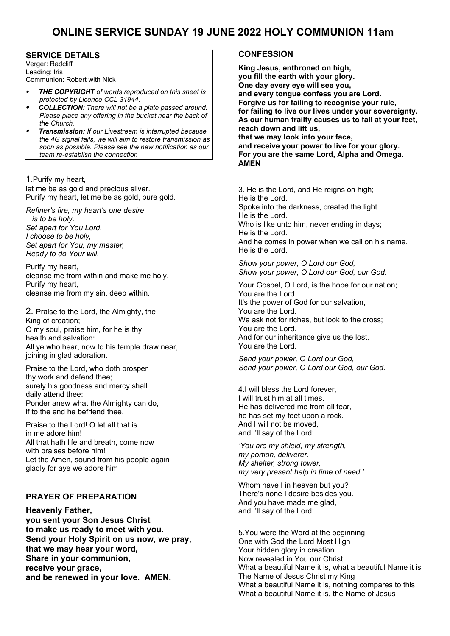# **ONLINE SERVICE SUNDAY 19 JUNE 2022 HOLY COMMUNION 11am**

## **SERVICE DETAILS**

Verger: Radcliff Leading: Iris Communion: Robert with Nick

- . *THE COPYRIGHT of words reproduced on this sheet is protected by Licence CCL 31944.*
- . *COLLECTION: There will not be a plate passed around. Please place any offering in the bucket near the back of the Church.*
- . *Transmission: If our Livestream is interrupted because the 4G signal fails, we will aim to restore transmission as soon as possible. Please see the new notification as our team re-establish the connection*

1.Purify my heart, let me be as gold and precious silver. Purify my heart, let me be as gold, pure gold.

*Refiner's fire, my heart's one desire is to be holy. Set apart for You Lord. I choose to be holy, Set apart for You, my master, Ready to do Your will.* 

Purify my heart, cleanse me from within and make me holy, Purify my heart, cleanse me from my sin, deep within.

2. Praise to the Lord, the Almighty, the King of creation; O my soul, praise him, for he is thy health and salvation: All ye who hear, now to his temple draw near, joining in glad adoration.

Praise to the Lord, who doth prosper thy work and defend thee; surely his goodness and mercy shall daily attend thee: Ponder anew what the Almighty can do, if to the end he befriend thee.

Praise to the Lord! O let all that is in me adore him! All that hath life and breath, come now with praises before him! Let the Amen, sound from his people again gladly for aye we adore him

## **PRAYER OF PREPARATION**

**Heavenly Father, you sent your Son Jesus Christ to make us ready to meet with you. Send your Holy Spirit on us now, we pray, that we may hear your word, Share in your communion, receive your grace, and be renewed in your love. AMEN.**

## **CONFESSION**

**King Jesus, enthroned on high, you fill the earth with your glory. One day every eye will see you, and every tongue confess you are Lord. Forgive us for failing to recognise your rule, for failing to live our lives under your sovereignty. As our human frailty causes us to fall at your feet, reach down and lift us, that we may look into your face, and receive your power to live for your glory. For you are the same Lord, Alpha and Omega. AMEN**

3. He is the Lord, and He reigns on high; He is the Lord. Spoke into the darkness, created the light. He is the Lord. Who is like unto him, never ending in days; He is the Lord. And he comes in power when we call on his name. He is the Lord.

*Show your power, O Lord our God, Show your power, O Lord our God, our God.*

Your Gospel, O Lord, is the hope for our nation; You are the Lord. It's the power of God for our salvation, You are the Lord. We ask not for riches, but look to the cross; You are the Lord. And for our inheritance give us the lost, You are the Lord.

*Send your power, O Lord our God, Send your power, O Lord our God, our God.*

4.I will bless the Lord forever, I will trust him at all times. He has delivered me from all fear, he has set my feet upon a rock. And I will not be moved, and I'll say of the Lord:

*'You are my shield, my strength, my portion, deliverer. My shelter, strong tower, my very present help in time of need.'*

Whom have I in heaven but you? There's none I desire besides you. And you have made me glad, and I'll say of the Lord:

5.You were the Word at the beginning One with God the Lord Most High Your hidden glory in creation Now revealed in You our Christ What a beautiful Name it is, what a beautiful Name it is The Name of Jesus Christ my King What a beautiful Name it is, nothing compares to this What a beautiful Name it is, the Name of Jesus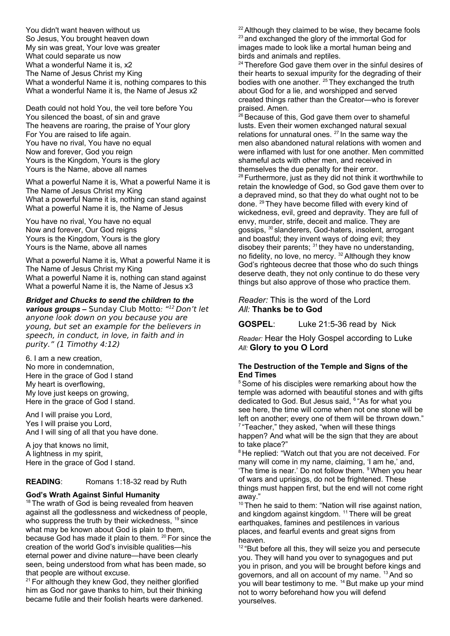You didn't want heaven without us So Jesus, You brought heaven down My sin was great, Your love was greater What could separate us now What a wonderful Name it is, x2 The Name of Jesus Christ my King What a wonderful Name it is, nothing compares to this What a wonderful Name it is, the Name of Jesus x2

Death could not hold You, the veil tore before You You silenced the boast, of sin and grave The heavens are roaring, the praise of Your glory For You are raised to life again. You have no rival, You have no equal Now and forever, God you reign Yours is the Kingdom, Yours is the glory Yours is the Name, above all names

What a powerful Name it is, What a powerful Name it is The Name of Jesus Christ my King What a powerful Name it is, nothing can stand against What a powerful Name it is, the Name of Jesus

You have no rival, You have no equal Now and forever, Our God reigns Yours is the Kingdom, Yours is the glory Yours is the Name, above all names

What a powerful Name it is, What a powerful Name it is The Name of Jesus Christ my King What a powerful Name it is, nothing can stand against What a powerful Name it is, the Name of Jesus x3

#### *Bridget and Chucks to send the children to the*

various groups - Sunday Club Motto: "<sup>12</sup> Don't let anyone look down on you because you are young, but set an example for the believers in speech, in conduct, in love, in faith and in purity." (1 Timothy 4:12)

6. I am a new creation, No more in condemnation, Here in the grace of God I stand My heart is overflowing, My love just keeps on growing, Here in the grace of God I stand.

And I will praise you Lord, Yes I will praise you Lord, And I will sing of all that you have done.

A joy that knows no limit, A lightness in my spirit, Here in the grace of God I stand.

## **READING:** Romans 1:18-32 read by Ruth

#### **God's Wrath Against Sinful Humanity**

<sup>18</sup> The wrath of God is being revealed from heaven against all the godlessness and wickedness of people, who suppress the truth by their wickedness, <sup>19</sup> since what may be known about God is plain to them, because God has made it plain to them. <sup>20</sup> For since the creation of the world God's invisible qualities—his eternal power and divine nature—have been clearly seen, being understood from what has been made, so that people are without excuse.

 $21$  For although they knew God, they neither glorified him as God nor gave thanks to him, but their thinking became futile and their foolish hearts were darkened.

 $22$  Although they claimed to be wise, they became fools <sup>23</sup> and exchanged the glory of the immortal God for images made to look like a mortal human being and birds and animals and reptiles.

<sup>24</sup> Therefore God gave them over in the sinful desires of their hearts to sexual impurity for the degrading of their bodies with one another. <sup>25</sup> They exchanged the truth about God for a lie, and worshipped and served created things rather than the Creator—who is forever praised. Amen.

<sup>26</sup> Because of this, God gave them over to shameful lusts. Even their women exchanged natural sexual relations for unnatural ones. <sup>27</sup> In the same way the men also abandoned natural relations with women and were inflamed with lust for one another. Men committed shameful acts with other men, and received in themselves the due penalty for their error.

 $28$  Furthermore, just as they did not think it worthwhile to retain the knowledge of God, so God gave them over to a depraved mind, so that they do what ought not to be done. <sup>29</sup> They have become filled with every kind of wickedness, evil, greed and depravity. They are full of envy, murder, strife, deceit and malice. They are gossips, <sup>30</sup> slanderers, God-haters, insolent, arrogant and boastful; they invent ways of doing evil; they disobey their parents;  $31$  they have no understanding, no fidelity, no love, no mercy. <sup>32</sup> Although they know God's righteous decree that those who do such things deserve death, they not only continue to do these very things but also approve of those who practice them.

## *Reader:* This is the word of the Lord *All:* **Thanks be to God**

**GOSPEL**: Luke 21:5-36 read by Nick

*Reader:* Hear the Holy Gospel according to Luke *All:* **Glory to you O Lord**

#### **The Destruction of the Temple and Signs of the End Times**

<sup>5</sup> Some of his disciples were remarking about how the temple was adorned with beautiful stones and with gifts dedicated to God. But Jesus said. <sup>6</sup> "As for what you see here, the time will come when not one stone will be left on another; every one of them will be thrown down." <sup>7</sup> "Teacher," they asked, "when will these things happen? And what will be the sign that they are about to take place?"

<sup>8</sup> He replied: "Watch out that you are not deceived. For many will come in my name, claiming, 'I am he,' and, 'The time is near.' Do not follow them. <sup>9</sup> When you hear of wars and uprisings, do not be frightened. These things must happen first, but the end will not come right away."

 $10$  Then he said to them: "Nation will rise against nation, and kingdom against kingdom. <sup>11</sup> There will be great earthquakes, famines and pestilences in various places, and fearful events and great signs from heaven.

<sup>12</sup> "But before all this, they will seize you and persecute you. They will hand you over to synagogues and put you in prison, and you will be brought before kings and governors, and all on account of my name. <sup>13</sup>And so you will bear testimony to me. <sup>14</sup> But make up your mind not to worry beforehand how you will defend yourselves.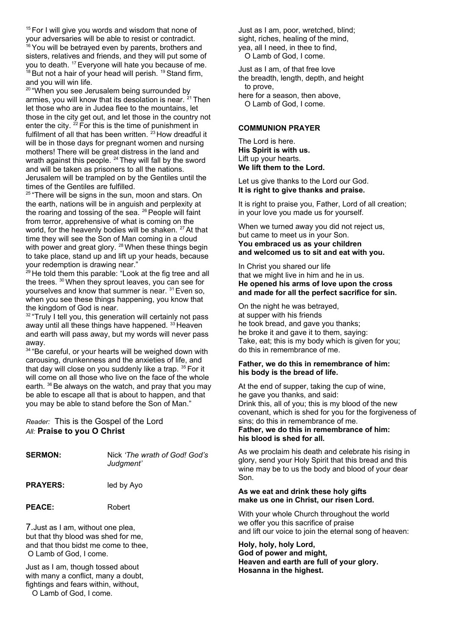<sup>15</sup> For I will give you words and wisdom that none of your adversaries will be able to resist or contradict.  $16$  You will be betrayed even by parents, brothers and sisters, relatives and friends, and they will put some of you to death. <sup>17</sup> Everyone will hate you because of me.  $18$  But not a hair of your head will perish.  $19$  Stand firm, and you will win life.

<sup>20</sup> "When you see Jerusalem being surrounded by armies, you will know that its desolation is near.  $21$  Then let those who are in Judea flee to the mountains, let those in the city get out, and let those in the country not enter the city.  $^{22}$  For this is the time of punishment in fulfilment of all that has been written.  $23$  How dreadful it will be in those days for pregnant women and nursing mothers! There will be great distress in the land and wrath against this people. <sup>24</sup> They will fall by the sword and will be taken as prisoners to all the nations. Jerusalem will be trampled on by the Gentiles until the times of the Gentiles are fulfilled.

<sup>25</sup> "There will be signs in the sun, moon and stars. On the earth, nations will be in anguish and perplexity at the roaring and tossing of the sea.  $26$  People will faint from terror, apprehensive of what is coming on the world, for the heavenly bodies will be shaken. <sup>27</sup> At that time they will see the Son of Man coming in a cloud with power and great glory. <sup>28</sup> When these things begin to take place, stand up and lift up your heads, because your redemption is drawing near."

<sup>29</sup> He told them this parable: "Look at the fig tree and all the trees. <sup>30</sup> When they sprout leaves, you can see for yourselves and know that summer is near. <sup>31</sup> Even so, when you see these things happening, you know that the kingdom of God is near.

<sup>32</sup> "Truly I tell you, this generation will certainly not pass away until all these things have happened. 33 Heaven and earth will pass away, but my words will never pass away.

<sup>34</sup> "Be careful, or your hearts will be weighed down with carousing, drunkenness and the anxieties of life, and that day will close on you suddenly like a trap. <sup>35</sup> For it will come on all those who live on the face of the whole earth.  $36$  Be always on the watch, and pray that you may be able to escape all that is about to happen, and that you may be able to stand before the Son of Man."

*Reader:* This is the Gospel of the Lord *All:* **Praise to you O Christ**

| <b>SERMON:</b>                                                                                                                              | Nick 'The wrath of God! God's<br>Judgment' |
|---------------------------------------------------------------------------------------------------------------------------------------------|--------------------------------------------|
| <b>PRAYERS:</b>                                                                                                                             | led by Ayo                                 |
| <b>PEACE:</b>                                                                                                                               | Robert                                     |
| 7. Just as I am, without one plea,<br>but that thy blood was shed for me,<br>and that thou bidst me come to thee,<br>O Lamb of God, I come. |                                            |
| Just as I am, though tossed about                                                                                                           |                                            |

with many a conflict, many a doubt, fightings and fears within, without, O Lamb of God, I come.

Just as I am, poor, wretched, blind; sight, riches, healing of the mind, yea, all I need, in thee to find, O Lamb of God, I come.

Just as I am, of that free love the breadth, length, depth, and height to prove, here for a season, then above, O Lamb of God, I come.

## **COMMUNION PRAYER**

The Lord is here. **His Spirit is with us.** Lift up your hearts. **We lift them to the Lord.**

Let us give thanks to the Lord our God. **It is right to give thanks and praise.**

It is right to praise you, Father, Lord of all creation; in your love you made us for yourself.

When we turned away you did not reject us, but came to meet us in your Son. **You embraced us as your children and welcomed us to sit and eat with you.**

In Christ you shared our life that we might live in him and he in us. **He opened his arms of love upon the cross and made for all the perfect sacrifice for sin.**

On the night he was betrayed, at supper with his friends he took bread, and gave you thanks; he broke it and gave it to them, saying: Take, eat; this is my body which is given for you; do this in remembrance of me.

#### **Father, we do this in remembrance of him: his body is the bread of life.**

At the end of supper, taking the cup of wine, he gave you thanks, and said: Drink this, all of you; this is my blood of the new covenant, which is shed for you for the forgiveness of sins; do this in remembrance of me. **Father, we do this in remembrance of him:**

**his blood is shed for all.**

As we proclaim his death and celebrate his rising in glory, send your Holy Spirit that this bread and this wine may be to us the body and blood of your dear Son.

#### **As we eat and drink these holy gifts make us one in Christ, our risen Lord.**

With your whole Church throughout the world we offer you this sacrifice of praise and lift our voice to join the eternal song of heaven:

**Holy, holy, holy Lord, God of power and might, Heaven and earth are full of your glory. Hosanna in the highest.**